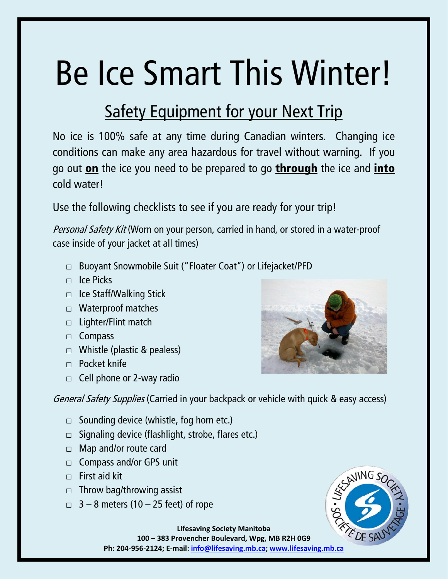## Be Ice Smart This Winter!

## **Safety Equipment for your Next Trip**

No ice is 100% safe at any time during Canadian winters. Changing ice conditions can make any area hazardous for travel without warning. If you go out on the ice you need to be prepared to go through the ice and *into* cold water!

Use the following checklists to see if you are ready for your trip!

Personal Safety Kit (Worn on your person, carried in hand, or stored in a water-proof case inside of your jacket at all times)

- □ Buoyant Snowmobile Suit ("Floater Coat") or Lifejacket/PFD
- $\Box$  Ice Picks
- □ Ice Staff/Walking Stick
- □ Waterproof matches
- □ Lighter/Flint match
- □ Compass
- □ Whistle (plastic & pealess)
- □ Pocket knife
- $\Box$  Cell phone or 2-way radio



General Safety Supplies (Carried in your backpack or vehicle with quick & easy access)

- $\Box$  Sounding device (whistle, fog horn etc.)
- $\Box$  Signaling device (flashlight, strobe, flares etc.)
- □ Map and/or route card
- □ Compass and/or GPS unit
- $\Box$  First aid kit
- $\Box$  Throw bag/throwing assist
- $\Box$  3 8 meters (10 25 feet) of rope



**Lifesaving Society Manitoba 100 – 383 Provencher Boulevard, Wpg, MB R2H 0G9**

**Ph: 204-956-2124; E-mail: [info@lifesaving.mb.ca;](mailto:info@lifesaving.mb.ca) [www.lifesaving.mb.ca](http://www.lifesaving.mb.ca/)**